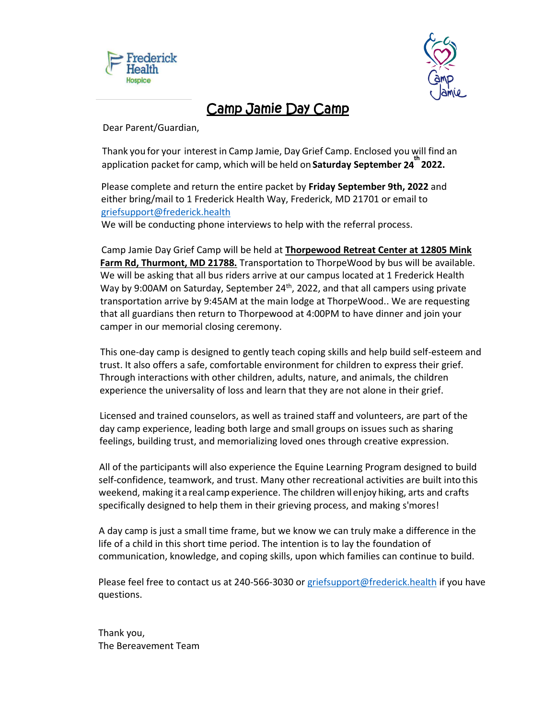



# Camp Jamie Day Camp

Dear Parent/Guardian,

Thank you for your interest in Camp Jamie, Day Grief Camp. Enclosed you will find an application packet for camp, which will be held on **Saturday September 24 th 2022.**

Please complete and return the entire packet by **Friday September 9th, 2022** and either bring/mail to 1 Frederick Health Way, Frederick, MD 21701 or email to [griefsupport@frederick.health](mailto:griefsupport@frederick.health)

We will be conducting phone interviews to help with the referral process.

Camp Jamie Day Grief Camp will be held at **Thorpewood Retreat Center at 12805 Mink Farm Rd, Thurmont, MD 21788.** Transportation to ThorpeWood by bus will be available. We will be asking that all bus riders arrive at our campus located at 1 Frederick Health Way by 9:00AM on Saturday, September  $24<sup>th</sup>$ , 2022, and that all campers using private transportation arrive by 9:45AM at the main lodge at ThorpeWood.. We are requesting that all guardians then return to Thorpewood at 4:00PM to have dinner and join your camper in our memorial closing ceremony.

This one-day camp is designed to gently teach coping skills and help build self-esteem and trust. It also offers a safe, comfortable environment for children to express their grief. Through interactions with other children, adults, nature, and animals, the children experience the universality of loss and learn that they are not alone in their grief.

Licensed and trained counselors, as well as trained staff and volunteers, are part of the day camp experience, leading both large and small groups on issues such as sharing feelings, building trust, and memorializing loved ones through creative expression.

All of the participants will also experience the Equine Learning Program designed to build self-confidence, teamwork, and trust. Many other recreational activities are built into this weekend, making it areal camp experience. The children will enjoy hiking, arts and crafts specifically designed to help them in their grieving process, and making s'mores!

A day camp is just a small time frame, but we know we can truly make a difference in the life of a child in this short time period. The intention is to lay the foundation of communication, knowledge, and coping skills, upon which families can continue to build.

Please feel free to contact us at 240-566-3030 o[r griefsupport@frederick.health](mailto:griefsupport@frederick.health) if you have questions.

Thank you, The Bereavement Team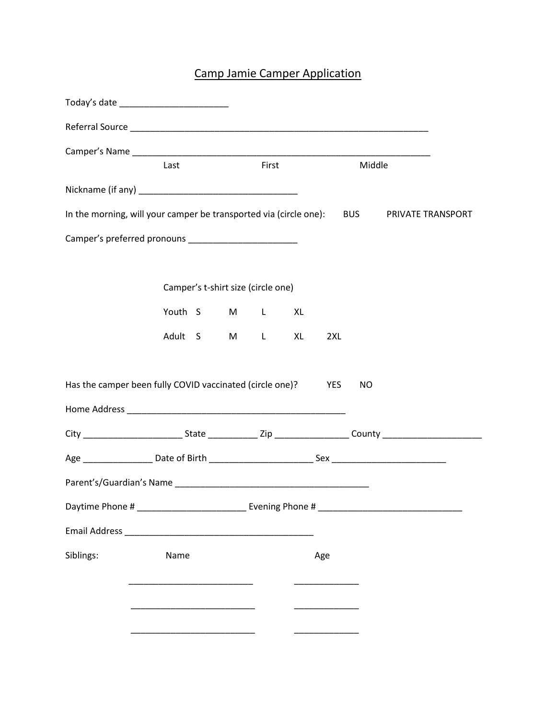# Camp Jamie Camper Application

| Today's date _______________________                                                                                                                                                                                           |         |                                    |       |            |        |                   |
|--------------------------------------------------------------------------------------------------------------------------------------------------------------------------------------------------------------------------------|---------|------------------------------------|-------|------------|--------|-------------------|
|                                                                                                                                                                                                                                |         |                                    |       |            |        |                   |
|                                                                                                                                                                                                                                |         |                                    |       |            |        |                   |
|                                                                                                                                                                                                                                | Last    |                                    | First |            | Middle |                   |
|                                                                                                                                                                                                                                |         |                                    |       |            |        |                   |
| In the morning, will your camper be transported via (circle one): BUS                                                                                                                                                          |         |                                    |       |            |        | PRIVATE TRANSPORT |
|                                                                                                                                                                                                                                |         |                                    |       |            |        |                   |
|                                                                                                                                                                                                                                |         |                                    |       |            |        |                   |
|                                                                                                                                                                                                                                |         | Camper's t-shirt size (circle one) |       |            |        |                   |
|                                                                                                                                                                                                                                |         | Youth S M L XL                     |       |            |        |                   |
|                                                                                                                                                                                                                                | Adult S |                                    | $M$ L | XL<br>2XL  |        |                   |
|                                                                                                                                                                                                                                |         |                                    |       |            |        |                   |
| Has the camper been fully COVID vaccinated (circle one)?                                                                                                                                                                       |         |                                    |       | <b>YES</b> | NO     |                   |
|                                                                                                                                                                                                                                |         |                                    |       |            |        |                   |
|                                                                                                                                                                                                                                |         |                                    |       |            |        |                   |
|                                                                                                                                                                                                                                |         |                                    |       |            |        |                   |
|                                                                                                                                                                                                                                |         |                                    |       |            |        |                   |
|                                                                                                                                                                                                                                |         |                                    |       |            |        |                   |
| Email Address and a state of the contract of the contract of the contract of the contract of the contract of the contract of the contract of the contract of the contract of the contract of the contract of the contract of t |         |                                    |       |            |        |                   |
| Siblings:                                                                                                                                                                                                                      | Name    |                                    |       | Age        |        |                   |
|                                                                                                                                                                                                                                |         |                                    |       |            |        |                   |
|                                                                                                                                                                                                                                |         |                                    |       |            |        |                   |
|                                                                                                                                                                                                                                |         |                                    |       |            |        |                   |
|                                                                                                                                                                                                                                |         |                                    |       |            |        |                   |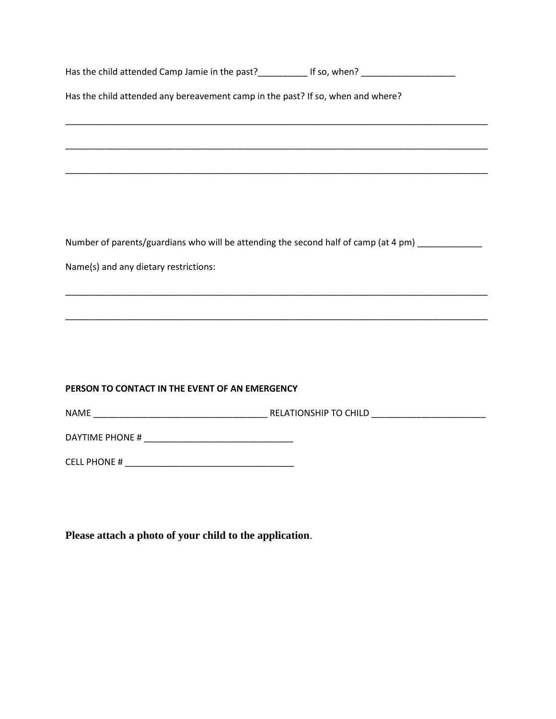|                                                                                 | Has the child attended Camp Jamie in the past?_______________ If so, when? _________________________ |
|---------------------------------------------------------------------------------|------------------------------------------------------------------------------------------------------|
| Has the child attended any bereavement camp in the past? If so, when and where? |                                                                                                      |
|                                                                                 |                                                                                                      |
|                                                                                 | ,我们也不能在这里的时候,我们也不能在这里的时候,我们也不能会在这里,我们也不能会不能会不能会不能会。""我们的人,我们也不能会不能会不能会不能会不能会不能会不                     |
|                                                                                 |                                                                                                      |
|                                                                                 | Number of parents/guardians who will be attending the second half of camp (at 4 pm)                  |
| Name(s) and any dietary restrictions:                                           |                                                                                                      |
|                                                                                 |                                                                                                      |
|                                                                                 |                                                                                                      |
|                                                                                 |                                                                                                      |
| PERSON TO CONTACT IN THE EVENT OF AN EMERGENCY                                  |                                                                                                      |
|                                                                                 |                                                                                                      |
|                                                                                 |                                                                                                      |
|                                                                                 |                                                                                                      |
|                                                                                 |                                                                                                      |

**Please attach a photo of your child to the application**.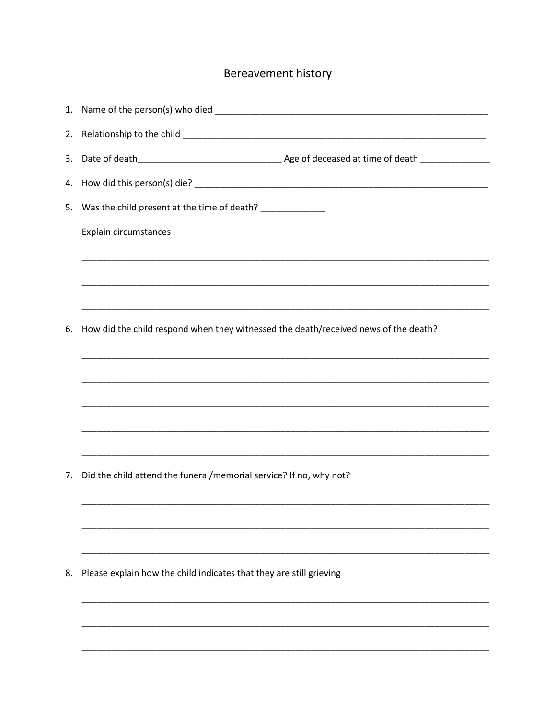# Bereavement history

| 4. |                                                                                                                       |
|----|-----------------------------------------------------------------------------------------------------------------------|
| 5. | Was the child present at the time of death? _____________                                                             |
|    | Explain circumstances                                                                                                 |
|    |                                                                                                                       |
|    | <u> 1989 - Johann Barn, mars ann an t-Amhainn an t-Amhainn an t-Amhainn an t-Amhainn an t-Amhainn an t-Amhainn an</u> |
|    |                                                                                                                       |
| 6. | How did the child respond when they witnessed the death/received news of the death?                                   |
|    |                                                                                                                       |
|    |                                                                                                                       |
|    |                                                                                                                       |
|    |                                                                                                                       |
|    |                                                                                                                       |
|    |                                                                                                                       |
| 7. | Did the child attend the funeral/memorial service? If no, why not?                                                    |
|    |                                                                                                                       |
|    |                                                                                                                       |
|    |                                                                                                                       |
| 8. | Please explain how the child indicates that they are still grieving                                                   |
|    |                                                                                                                       |
|    |                                                                                                                       |
|    |                                                                                                                       |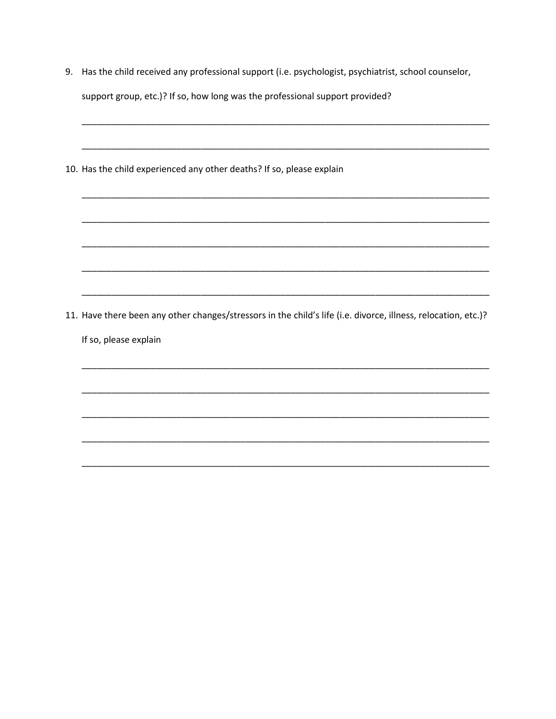- 9. Has the child received any professional support (i.e. psychologist, psychiatrist, school counselor, support group, etc.)? If so, how long was the professional support provided?
- 10. Has the child experienced any other deaths? If so, please explain

- 11. Have there been any other changes/stressors in the child's life (i.e. divorce, illness, relocation, etc.)?
	- If so, please explain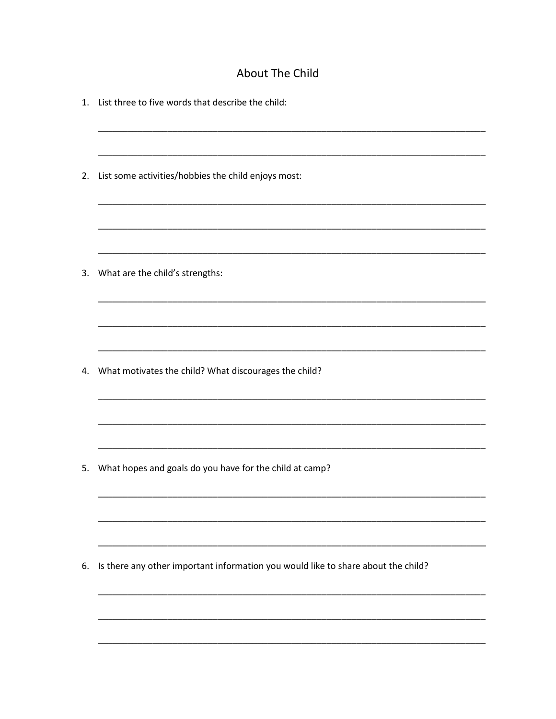## About The Child

| 1. | List three to five words that describe the child:                                 |
|----|-----------------------------------------------------------------------------------|
| 2. | List some activities/hobbies the child enjoys most:                               |
| 3. | What are the child's strengths:                                                   |
|    |                                                                                   |
| 4. | What motivates the child? What discourages the child?                             |
|    | 5. What hopes and goals do you have for the child at camp?                        |
| 6. | Is there any other important information you would like to share about the child? |
|    |                                                                                   |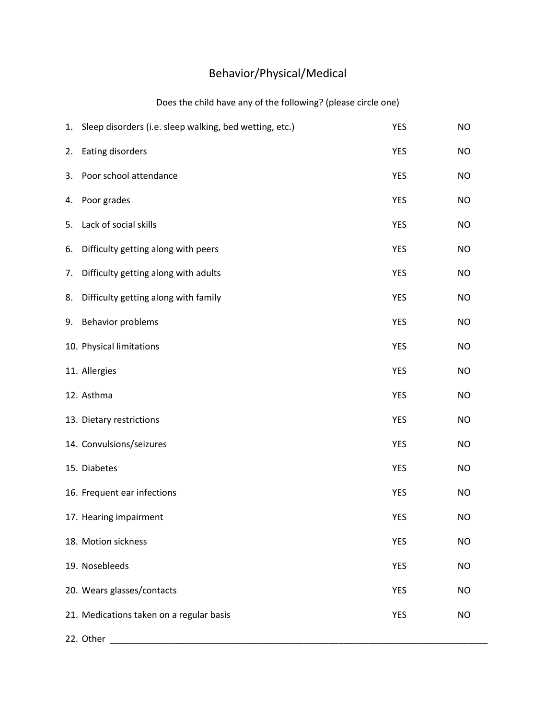# Behavior/Physical/Medical

#### Does the child have any of the following? (please circle one)

|    | 1. Sleep disorders (i.e. sleep walking, bed wetting, etc.) | <b>YES</b> | <b>NO</b> |
|----|------------------------------------------------------------|------------|-----------|
| 2. | Eating disorders                                           | <b>YES</b> | NO        |
| 3. | Poor school attendance                                     | <b>YES</b> | <b>NO</b> |
| 4. | Poor grades                                                | <b>YES</b> | <b>NO</b> |
| 5. | Lack of social skills                                      | <b>YES</b> | <b>NO</b> |
| 6. | Difficulty getting along with peers                        | <b>YES</b> | NO        |
| 7. | Difficulty getting along with adults                       | <b>YES</b> | <b>NO</b> |
| 8. | Difficulty getting along with family                       | <b>YES</b> | NO        |
| 9. | Behavior problems                                          | <b>YES</b> | <b>NO</b> |
|    | 10. Physical limitations                                   | <b>YES</b> | NO        |
|    | 11. Allergies                                              | <b>YES</b> | <b>NO</b> |
|    | 12. Asthma                                                 | <b>YES</b> | <b>NO</b> |
|    | 13. Dietary restrictions                                   | <b>YES</b> | <b>NO</b> |
|    | 14. Convulsions/seizures                                   | <b>YES</b> | NO        |
|    | 15. Diabetes                                               | <b>YES</b> | <b>NO</b> |
|    | 16. Frequent ear infections                                | <b>YES</b> | <b>NO</b> |
|    | 17. Hearing impairment                                     | <b>YES</b> | <b>NO</b> |
|    | 18. Motion sickness                                        | <b>YES</b> | <b>NO</b> |
|    | 19. Nosebleeds                                             | <b>YES</b> | <b>NO</b> |
|    | 20. Wears glasses/contacts                                 | <b>YES</b> | <b>NO</b> |
|    | 21. Medications taken on a regular basis                   | <b>YES</b> | NO        |
|    | 22. Other                                                  |            |           |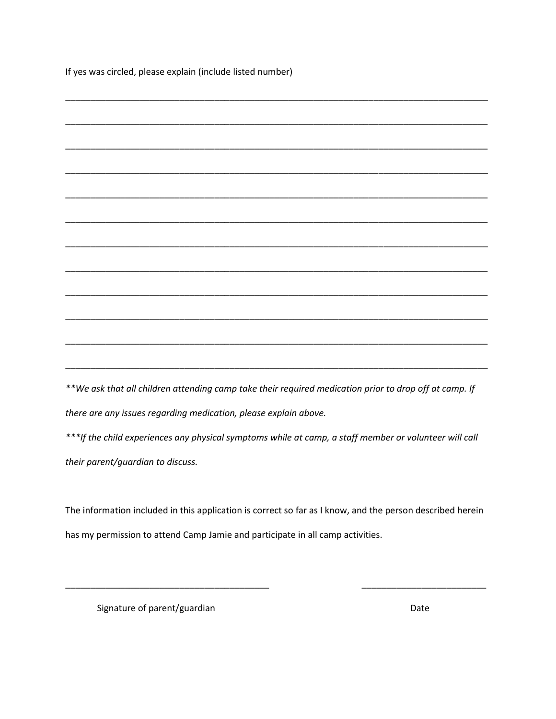If yes was circled, please explain (include listed number)

| المتحرض والمتارين والمتارين والمتارين والمتارين والمتارين المتناول والمتراوية والمتارين والمتعاطف |  |  | $\overline{a}$ |
|---------------------------------------------------------------------------------------------------|--|--|----------------|

*\*\*We ask that all children attending camp take their required medication prior to drop off at camp. If there are any issues regarding medication, please explain above.*

*\*\*\*If the child experiences any physical symptoms while at camp, a staff member or volunteer will call their parent/guardian to discuss.*

The information included in this application is correct so far as I know, and the person described herein has my permission to attend Camp Jamie and participate in all camp activities.

\_\_\_\_\_\_\_\_\_\_\_\_\_\_\_\_\_\_\_\_\_\_\_\_\_\_\_\_\_\_\_\_\_\_\_\_\_\_\_\_\_ \_\_\_\_\_\_\_\_\_\_\_\_\_\_\_\_\_\_\_\_\_\_\_\_\_

Signature of parent/guardian discussed by the Date of Date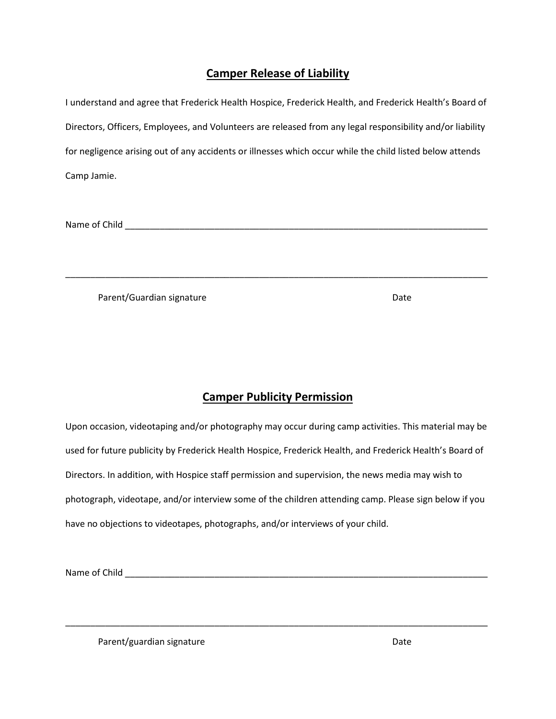#### **Camper Release of Liability**

| I understand and agree that Frederick Health Hospice, Frederick Health, and Frederick Health's Board of    |
|------------------------------------------------------------------------------------------------------------|
| Directors, Officers, Employees, and Volunteers are released from any legal responsibility and/or liability |
| for negligence arising out of any accidents or illnesses which occur while the child listed below attends  |
| Camp Jamie.                                                                                                |

Name of Child \_\_\_\_\_\_\_\_\_\_\_\_\_\_\_\_\_\_\_\_\_\_\_\_\_\_\_\_\_\_\_\_\_\_\_\_\_\_\_\_\_\_\_\_\_\_\_\_\_\_\_\_\_\_\_\_\_\_\_\_\_\_\_\_\_\_\_\_\_\_\_\_\_

Parent/Guardian signature Date Date

#### **Camper Publicity Permission**

\_\_\_\_\_\_\_\_\_\_\_\_\_\_\_\_\_\_\_\_\_\_\_\_\_\_\_\_\_\_\_\_\_\_\_\_\_\_\_\_\_\_\_\_\_\_\_\_\_\_\_\_\_\_\_\_\_\_\_\_\_\_\_\_\_\_\_\_\_\_\_\_\_\_\_\_\_\_\_\_\_\_\_\_\_

Upon occasion, videotaping and/or photography may occur during camp activities. This material may be used for future publicity by Frederick Health Hospice, Frederick Health, and Frederick Health's Board of Directors. In addition, with Hospice staff permission and supervision, the news media may wish to photograph, videotape, and/or interview some of the children attending camp. Please sign below if you have no objections to videotapes, photographs, and/or interviews of your child.

\_\_\_\_\_\_\_\_\_\_\_\_\_\_\_\_\_\_\_\_\_\_\_\_\_\_\_\_\_\_\_\_\_\_\_\_\_\_\_\_\_\_\_\_\_\_\_\_\_\_\_\_\_\_\_\_\_\_\_\_\_\_\_\_\_\_\_\_\_\_\_\_\_\_\_\_\_\_\_\_\_\_\_\_\_

Name of Child \_\_\_\_\_\_\_\_\_\_\_\_\_\_\_\_\_\_\_\_\_\_\_\_\_\_\_\_\_\_\_\_\_\_\_\_\_\_\_\_\_\_\_\_\_\_\_\_\_\_\_\_\_\_\_\_\_\_\_\_\_\_\_\_\_\_\_\_\_\_\_\_\_

Parent/guardian signature Date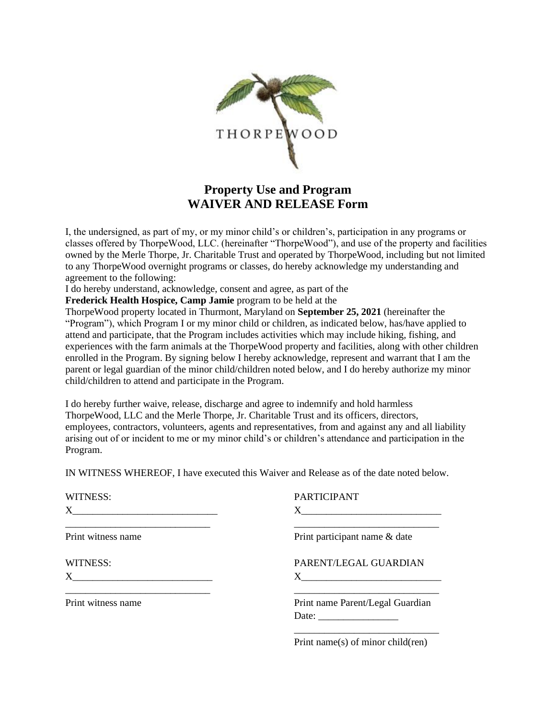

### **Property Use and Program WAIVER AND RELEASE Form**

I, the undersigned, as part of my, or my minor child's or children's, participation in any programs or classes offered by ThorpeWood, LLC. (hereinafter "ThorpeWood"), and use of the property and facilities owned by the Merle Thorpe, Jr. Charitable Trust and operated by ThorpeWood, including but not limited to any ThorpeWood overnight programs or classes, do hereby acknowledge my understanding and agreement to the following:

I do hereby understand, acknowledge, consent and agree, as part of the

**Frederick Health Hospice, Camp Jamie** program to be held at the

ThorpeWood property located in Thurmont, Maryland on **September 25, 2021** (hereinafter the "Program"), which Program I or my minor child or children, as indicated below, has/have applied to attend and participate, that the Program includes activities which may include hiking, fishing, and experiences with the farm animals at the ThorpeWood property and facilities, along with other children enrolled in the Program. By signing below I hereby acknowledge, represent and warrant that I am the parent or legal guardian of the minor child/children noted below, and I do hereby authorize my minor child/children to attend and participate in the Program.

I do hereby further waive, release, discharge and agree to indemnify and hold harmless ThorpeWood, LLC and the Merle Thorpe, Jr. Charitable Trust and its officers, directors, employees, contractors, volunteers, agents and representatives, from and against any and all liability arising out of or incident to me or my minor child's or children's attendance and participation in the Program.

IN WITNESS WHEREOF, I have executed this Waiver and Release as of the date noted below.

| WITNESS:                                                                                                                                    | <b>PARTICIPANT</b>                                                                                                                                                                                                                                                                                          |
|---------------------------------------------------------------------------------------------------------------------------------------------|-------------------------------------------------------------------------------------------------------------------------------------------------------------------------------------------------------------------------------------------------------------------------------------------------------------|
|                                                                                                                                             |                                                                                                                                                                                                                                                                                                             |
| Print witness name                                                                                                                          | Print participant name & date                                                                                                                                                                                                                                                                               |
| WITNESS:                                                                                                                                    | PARENT/LEGAL GUARDIAN                                                                                                                                                                                                                                                                                       |
|                                                                                                                                             |                                                                                                                                                                                                                                                                                                             |
| <u> 1989 - Johann Barn, mars ann an t-Amhraich ann an t-Amhraich ann an t-Amhraich ann an t-Amhraich ann an t-Amh</u><br>Print witness name | Print name Parent/Legal Guardian                                                                                                                                                                                                                                                                            |
|                                                                                                                                             | Date: $\frac{1}{\sqrt{1-\frac{1}{2}}\sqrt{1-\frac{1}{2}}\sqrt{1-\frac{1}{2}}\sqrt{1-\frac{1}{2}}\sqrt{1-\frac{1}{2}}}}$                                                                                                                                                                                     |
|                                                                                                                                             | $\mathbf{D}$ . $\mathbf{A}$ , $\mathbf{A}$ , $\mathbf{A}$ , $\mathbf{A}$ , $\mathbf{A}$ , $\mathbf{A}$ , $\mathbf{A}$ , $\mathbf{A}$ , $\mathbf{A}$ , $\mathbf{A}$ , $\mathbf{A}$ , $\mathbf{A}$ , $\mathbf{A}$ , $\mathbf{A}$ , $\mathbf{A}$ , $\mathbf{A}$ , $\mathbf{A}$ , $\mathbf{A}$ , $\mathbf{A}$ , |

Print name(s) of minor child(ren)